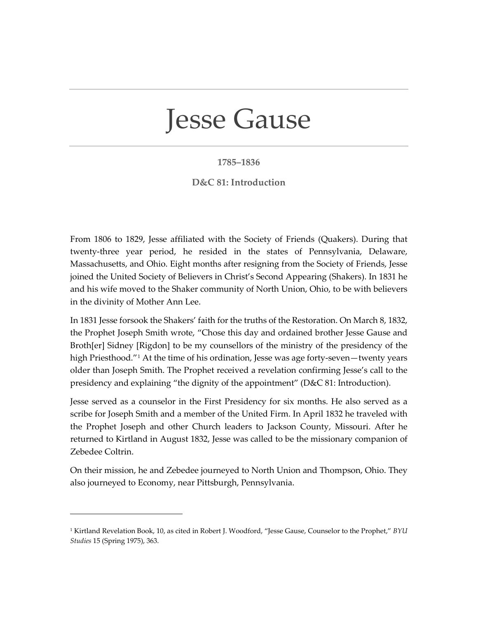## Jesse Gause

## **1785–1836**

## **D&C 81: Introduction**

From 1806 to 1829, Jesse affiliated with the Society of Friends (Quakers). During that twenty-three year period, he resided in the states of Pennsylvania, Delaware, Massachusetts, and Ohio. Eight months after resigning from the Society of Friends, Jesse joined the United Society of Believers in Christ's Second Appearing (Shakers). In 1831 he and his wife moved to the Shaker community of North Union, Ohio, to be with believers in the divinity of Mother Ann Lee.

In 1831 Jesse forsook the Shakers' faith for the truths of the Restoration. On March 8, 1832, the Prophet Joseph Smith wrote, "Chose this day and ordained brother Jesse Gause and Broth[er] Sidney [Rigdon] to be my counsellors of the ministry of the presidency of the high Priesthood.<sup>["1](#page-0-0)</sup> At the time of his ordination, Jesse was age forty-seven—twenty years older than Joseph Smith. The Prophet received a revelation confirming Jesse's call to the presidency and explaining "the dignity of the appointment" (D&C 81: Introduction).

Jesse served as a counselor in the First Presidency for six months. He also served as a scribe for Joseph Smith and a member of the United Firm. In April 1832 he traveled with the Prophet Joseph and other Church leaders to Jackson County, Missouri. After he returned to Kirtland in August 1832, Jesse was called to be the missionary companion of Zebedee Coltrin.

On their mission, he and Zebedee journeyed to North Union and Thompson, Ohio. They also journeyed to Economy, near Pittsburgh, Pennsylvania.

<span id="page-0-0"></span><sup>1</sup> Kirtland Revelation Book, 10, as cited in Robert J. Woodford, "Jesse Gause, Counselor to the Prophet," *BYU Studies* 15 (Spring 1975), 363.